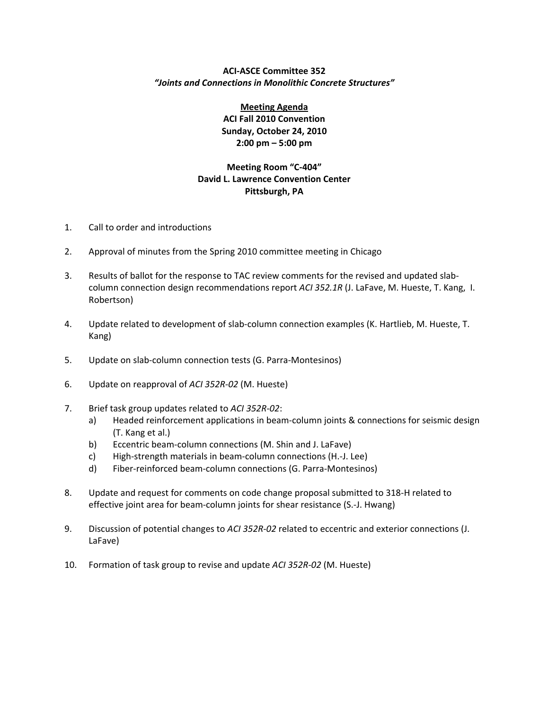## **ACI‐ASCE Committee 352** *"Joints and Connections in Monolithic Concrete Structures"*

**Meeting Agenda ACI Fall 2010 Convention Sunday, October 24, 2010 2:00 pm – 5:00 pm**

## **Meeting Room "C‐404" David L. Lawrence Convention Center Pittsburgh, PA**

- 1. Call to order and introductions
- 2. Approval of minutes from the Spring 2010 committee meeting in Chicago
- 3. Results of ballot for the response to TAC review comments for the revised and updated slab‐ column connection design recommendations report *ACI 352.1R* (J. LaFave, M. Hueste, T. Kang, I. Robertson)
- 4. Update related to development of slab‐column connection examples (K. Hartlieb, M. Hueste, T. Kang)
- 5. Update on slab-column connection tests (G. Parra-Montesinos)
- 6. Update on reapproval of *ACI 352R‐02* (M. Hueste)
- 7. Brief task group updates related to *ACI 352R‐02*:
	- a) Headed reinforcement applications in beam‐column joints & connections for seismic design (T. Kang et al.)
	- b) Eccentric beam‐column connections (M. Shin and J. LaFave)
	- c) High‐strength materials in beam‐column connections (H.‐J. Lee)
	- d) Fiber‐reinforced beam‐column connections (G. Parra‐Montesinos)
- 8. Update and request for comments on code change proposal submitted to 318‐H related to effective joint area for beam‐column joints for shear resistance (S.‐J. Hwang)
- 9. Discussion of potential changes to *ACI 352R‐02* related to eccentric and exterior connections (J. LaFave)
- 10. Formation of task group to revise and update *ACI 352R‐02* (M. Hueste)